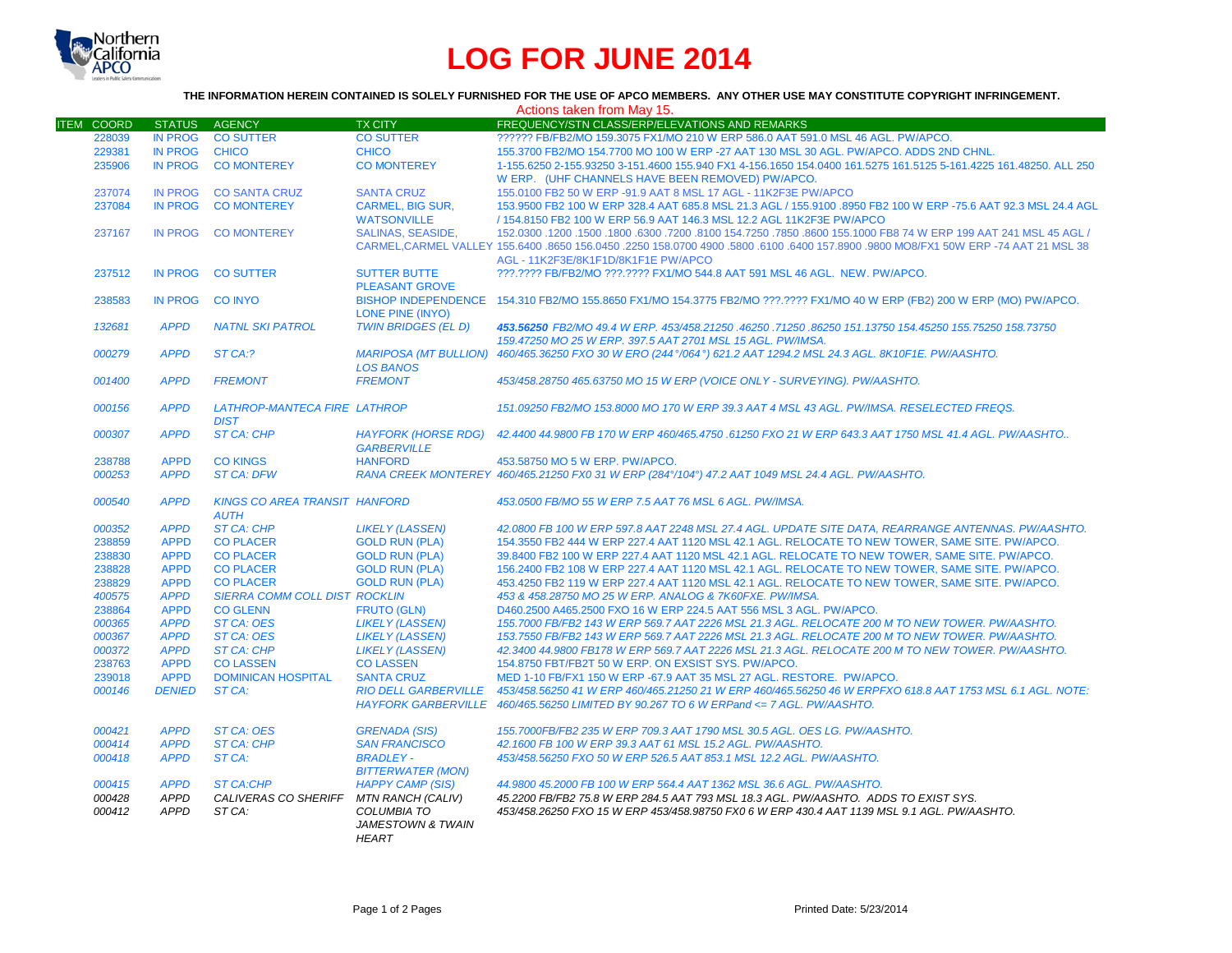

## **LOG FOR JUNE 2014**

## **THE INFORMATION HEREIN CONTAINED IS SOLELY FURNISHED FOR THE USE OF APCO MEMBERS. ANY OTHER USE MAY CONSTITUTE COPYRIGHT INFRINGEMENT.**

|                            |                                           |                                                                      |                                                                                               | Actions taken from May 15.                                                                                                                                                                                                                                                               |
|----------------------------|-------------------------------------------|----------------------------------------------------------------------|-----------------------------------------------------------------------------------------------|------------------------------------------------------------------------------------------------------------------------------------------------------------------------------------------------------------------------------------------------------------------------------------------|
| <b>ITEM COORD</b>          | <b>STATUS</b>                             | AGENCY                                                               | <b>TX CITY</b>                                                                                | FREQUENCY/STN CLASS/ERP/ELEVATIONS AND REMARKS                                                                                                                                                                                                                                           |
| 228039                     | <b>IN PROG</b>                            | <b>CO SUTTER</b>                                                     | <b>CO SUTTER</b>                                                                              | ?????? FB/FB2/MO 159.3075 FX1/MO 210 W ERP 586.0 AAT 591.0 MSL 46 AGL. PW/APCO.                                                                                                                                                                                                          |
| 229381                     | <b>IN PROG</b>                            | <b>CHICO</b>                                                         | <b>CHICO</b>                                                                                  | 155.3700 FB2/MO 154.7700 MO 100 W ERP -27 AAT 130 MSL 30 AGL. PW/APCO. ADDS 2ND CHNL.                                                                                                                                                                                                    |
| 235906                     | <b>IN PROG</b>                            | <b>CO MONTEREY</b>                                                   | <b>CO MONTEREY</b>                                                                            | 1-155.6250 2-155.93250 3-151.4600 155.940 FX1 4-156.1650 154.0400 161.5275 161.5125 5-161.4225 161.48250. ALL 250<br>W ERP. (UHF CHANNELS HAVE BEEN REMOVED) PW/APCO.                                                                                                                    |
| 237074                     | <b>IN PROG</b>                            | <b>CO SANTA CRUZ</b>                                                 | <b>SANTA CRUZ</b>                                                                             | 155.0100 FB2 50 W ERP -91.9 AAT 8 MSL 17 AGL - 11K2F3E PW/APCO                                                                                                                                                                                                                           |
| 237084                     | <b>IN PROG</b>                            | <b>CO MONTEREY</b>                                                   | <b>CARMEL, BIG SUR.</b><br><b>WATSONVILLE</b>                                                 | 153,9500 FB2 100 W ERP 328.4 AAT 685.8 MSL 21.3 AGL / 155,9100 .8950 FB2 100 W ERP -75.6 AAT 92.3 MSL 24.4 AGL<br>/ 154.8150 FB2 100 W ERP 56.9 AAT 146.3 MSL 12.2 AGL 11K2F3E PW/APCO                                                                                                   |
| 237167                     | <b>IN PROG</b>                            | <b>CO MONTEREY</b>                                                   | <b>SALINAS, SEASIDE,</b>                                                                      | 152.0300 .1200 .1500 .6300 .7200 .8100 154.7250 .7850 .8600 155.1000 FB8 74 W ERP 199 AAT 241 MSL 45 AGL /<br>CARMEL.CARMEL VALLEY 155,6400 .8650 156,0450 .2250 158,0700 4900 .5800 .6100 .6400 157,8900 .9800 MO8/FX1 50W ERP -74 AAT 21 MSL 38<br>AGL - 11K2F3E/8K1F1D/8K1F1E PW/APCO |
| 237512                     | <b>IN PROG</b>                            | <b>CO SUTTER</b>                                                     | <b>SUTTER BUTTE</b><br><b>PLEASANT GROVE</b>                                                  | ???.???? FB/FB2/MO ???.???? FX1/MO 544.8 AAT 591 MSL 46 AGL. NEW. PW/APCO.                                                                                                                                                                                                               |
| 238583                     | <b>IN PROG</b>                            | <b>CO INYO</b>                                                       | <b>LONE PINE (INYO)</b>                                                                       | BISHOP INDEPENDENCE 154.310 FB2/MO 155.8650 FX1/MO 154.3775 FB2/MO ???.???? FX1/MO 40 W ERP (FB2) 200 W ERP (MO) PW/APCO.                                                                                                                                                                |
| 132681                     | <b>APPD</b>                               | <b>NATNL SKI PATROL</b>                                              | <b>TWIN BRIDGES (EL D)</b>                                                                    | 453,56250 FB2/MO 49.4 W ERP, 453/458.21250 .46250 .71250 .86250 151.13750 154.45250 155.75250 158.73750<br>159.47250 MO 25 W ERP. 397.5 AAT 2701 MSL 15 AGL. PW/IMSA.                                                                                                                    |
| 000279                     | <b>APPD</b>                               | ST CA:?                                                              | <b>LOS BANOS</b>                                                                              | MARIPOSA (MT BULLION) 460/465.36250 FXO 30 W ERO (244°/064°) 621.2 AAT 1294.2 MSL 24.3 AGL. 8K10F1E. PW/AASHTO.                                                                                                                                                                          |
| 001400                     | <b>APPD</b>                               | <b>FREMONT</b>                                                       | <b>FREMONT</b>                                                                                | 453/458.28750 465.63750 MO 15 W ERP (VOICE ONLY - SURVEYING). PW/AASHTO.                                                                                                                                                                                                                 |
| 000156                     | <b>APPD</b>                               | <b>LATHROP-MANTECA FIRE LATHROP</b><br><b>DIST</b>                   |                                                                                               | 151.09250 FB2/MO 153.8000 MO 170 W ERP 39.3 AAT 4 MSL 43 AGL. PW/IMSA, RESELECTED FREQS.                                                                                                                                                                                                 |
| 000307                     | <b>APPD</b>                               | <b>ST CA: CHP</b>                                                    | <b>HAYFORK (HORSE RDG)</b><br><b>GARBERVILLE</b>                                              | 42.4400 44.9800 FB 170 W ERP 460/465.4750 .61250 FXO 21 W ERP 643.3 AAT 1750 MSL 41.4 AGL. PW/AASHTO                                                                                                                                                                                     |
| 238788                     | <b>APPD</b>                               | <b>CO KINGS</b>                                                      | <b>HANFORD</b>                                                                                | 453.58750 MO 5 W ERP. PW/APCO.                                                                                                                                                                                                                                                           |
| 000253                     | <b>APPD</b>                               | <b>ST CA: DFW</b>                                                    |                                                                                               | RANA CREEK MONTEREY 460/465.21250 FX0 31 W ERP (284°/104°) 47.2 AAT 1049 MSL 24.4 AGL. PW/AASHTO.                                                                                                                                                                                        |
| 000540                     | <b>APPD</b>                               | <b>KINGS CO AREA TRANSIT HANFORD</b><br><b>AUTH</b>                  |                                                                                               | 453.0500 FB/MO 55 W ERP 7.5 AAT 76 MSL 6 AGL, PW/IMSA.                                                                                                                                                                                                                                   |
| 000352                     | <b>APPD</b>                               | <b>ST CA: CHP</b>                                                    | <b>LIKELY (LASSEN)</b>                                                                        | 42.0800 FB 100 W ERP 597.8 AAT 2248 MSL 27.4 AGL, UPDATE SITE DATA, REARRANGE ANTENNAS, PW/AASHTO,                                                                                                                                                                                       |
| 238859                     | <b>APPD</b>                               | <b>CO PLACER</b>                                                     | <b>GOLD RUN (PLA)</b>                                                                         | 154.3550 FB2 444 W ERP 227.4 AAT 1120 MSL 42.1 AGL. RELOCATE TO NEW TOWER, SAME SITE. PW/APCO.                                                                                                                                                                                           |
| 238830                     | <b>APPD</b>                               | <b>CO PLACER</b>                                                     | <b>GOLD RUN (PLA)</b>                                                                         | 39.8400 FB2 100 W ERP 227.4 AAT 1120 MSL 42.1 AGL. RELOCATE TO NEW TOWER, SAME SITE, PW/APCO,                                                                                                                                                                                            |
| 238828                     | <b>APPD</b>                               | <b>CO PLACER</b>                                                     | <b>GOLD RUN (PLA)</b>                                                                         | 156.2400 FB2 108 W ERP 227.4 AAT 1120 MSL 42.1 AGL. RELOCATE TO NEW TOWER, SAME SITE. PW/APCO.                                                                                                                                                                                           |
| 238829                     | <b>APPD</b>                               | <b>CO PLACER</b>                                                     | <b>GOLD RUN (PLA)</b>                                                                         | 453.4250 FB2 119 W ERP 227.4 AAT 1120 MSL 42.1 AGL. RELOCATE TO NEW TOWER, SAME SITE. PW/APCO.                                                                                                                                                                                           |
| 400575                     | <b>APPD</b>                               | SIERRA COMM COLL DIST ROCKLIN                                        |                                                                                               | 453 & 458.28750 MO 25 W ERP. ANALOG & 7K60FXE. PW/IMSA.                                                                                                                                                                                                                                  |
| 238864                     | <b>APPD</b>                               | <b>CO GLENN</b>                                                      | <b>FRUTO (GLN)</b>                                                                            | D460.2500 A465.2500 FXO 16 W ERP 224.5 AAT 556 MSL 3 AGL. PW/APCO.                                                                                                                                                                                                                       |
| 000365                     | <b>APPD</b>                               | <b>ST CA: OES</b>                                                    | <b>LIKELY (LASSEN)</b>                                                                        | 155.7000 FB/FB2 143 W ERP 569.7 AAT 2226 MSL 21.3 AGL. RELOCATE 200 M TO NEW TOWER. PW/AASHTO.                                                                                                                                                                                           |
| 000367                     | <b>APPD</b>                               | <b>ST CA: OES</b>                                                    | <b>LIKELY (LASSEN)</b>                                                                        | 153.7550 FB/FB2 143 W ERP 569.7 AAT 2226 MSL 21.3 AGL. RELOCATE 200 M TO NEW TOWER. PW/AASHTO.                                                                                                                                                                                           |
| 000372                     | <b>APPD</b>                               | <b>ST CA: CHP</b>                                                    | <b>LIKELY (LASSEN)</b>                                                                        | 42,3400 44,9800 FB178 W ERP 569.7 AAT 2226 MSL 21.3 AGL, RELOCATE 200 M TO NEW TOWER, PW/AASHTO,                                                                                                                                                                                         |
| 238763                     | <b>APPD</b>                               | <b>CO LASSEN</b>                                                     | <b>CO LASSEN</b>                                                                              | 154.8750 FBT/FB2T 50 W ERP. ON EXSIST SYS. PW/APCO.                                                                                                                                                                                                                                      |
| 239018                     | <b>APPD</b>                               | <b>DOMINICAN HOSPITAL</b>                                            | <b>SANTA CRUZ</b>                                                                             | MED 1-10 FB/FX1 150 W ERP -67.9 AAT 35 MSL 27 AGL, RESTORE, PW/APCO.                                                                                                                                                                                                                     |
| 000146                     | <b>DENIED</b>                             | ST CA:                                                               | <b>RIO DELL GARBERVILLE</b>                                                                   | 453/458.56250 41 W ERP 460/465.21250 21 W ERP 460/465.56250 46 W ERPFXO 618.8 AAT 1753 MSL 6.1 AGL. NOTE:                                                                                                                                                                                |
|                            |                                           |                                                                      |                                                                                               | HAYFORK GARBERVILLE 460/465.56250 LIMITED BY 90.267 TO 6 W ERPand <= 7 AGL. PW/AASHTO.                                                                                                                                                                                                   |
| 000421                     | <b>APPD</b>                               | <b>ST CA: OES</b>                                                    | <b>GRENADA (SIS)</b>                                                                          | 155.7000FB/FB2 235 W ERP 709.3 AAT 1790 MSL 30.5 AGL. OES LG. PW/AASHTO.                                                                                                                                                                                                                 |
| 000414                     | <b>APPD</b>                               | <b>ST CA: CHP</b>                                                    | <b>SAN FRANCISCO</b>                                                                          | 42.1600 FB 100 W ERP 39.3 AAT 61 MSL 15.2 AGL. PW/AASHTO.                                                                                                                                                                                                                                |
| 000418                     | <b>APPD</b>                               | ST CA:                                                               | <b>BRADLEY-</b><br><b>BITTERWATER (MON)</b>                                                   | 453/458.56250 FXO 50 W ERP 526.5 AAT 853.1 MSL 12.2 AGL. PW/AASHTO.                                                                                                                                                                                                                      |
| 000415<br>000428<br>000412 | <b>APPD</b><br><b>APPD</b><br><b>APPD</b> | <b>ST CA:CHP</b><br>CALIVERAS CO SHERIFF MTN RANCH (CALIV)<br>ST CA: | <b>HAPPY CAMP (SIS)</b><br><b>COLUMBIA TO</b><br><b>JAMESTOWN &amp; TWAIN</b><br><b>HEART</b> | 44.9800 45.2000 FB 100 W ERP 564.4 AAT 1362 MSL 36.6 AGL. PW/AASHTO.<br>45.2200 FB/FB2 75.8 W ERP 284.5 AAT 793 MSL 18.3 AGL. PW/AASHTO. ADDS TO EXIST SYS.<br>453/458.26250 FXO 15 W ERP 453/458.98750 FX0 6 W ERP 430.4 AAT 1139 MSL 9.1 AGL. PW/AASHTO.                               |